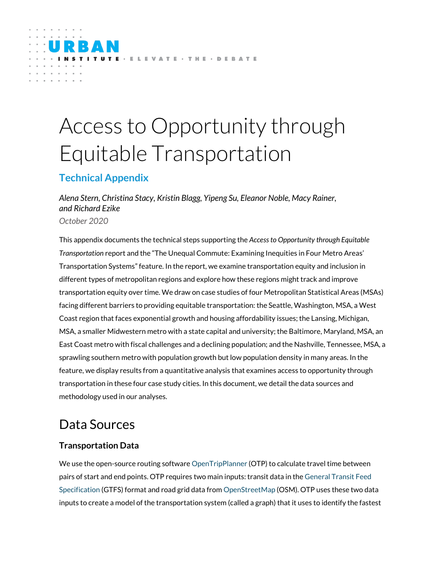# Access to Opportunity through Equitable Transportation

E - E L E VATE - THE - DEBATE

# **Technical Appendix**

*Alena Stern, Christina Stacy, Kristin Blagg, Yipeng Su, Eleanor Noble, Macy Rainer, and Richard Ezike*

*October 2020*

This appendix documents the technical steps supporting the *Access to Opportunity through Equitable Transportation* report and the "The Unequal Commute: Examining Inequities in Four Metro Areas' Transportation Systems" feature. In the report, we examine transportation equity and inclusion in different types of metropolitan regions and explore how these regions might track and improve transportation equity over time. We draw on case studies of four Metropolitan Statistical Areas (MSAs) facing different barriers to providing equitable transportation: the Seattle, Washington, MSA, a West Coast region that faces exponential growth and housing affordability issues; the Lansing, Michigan, MSA, a smaller Midwestern metro with a state capital and university; the Baltimore, Maryland, MSA, an East Coast metro with fiscal challenges and a declining population; and the Nashville, Tennessee, MSA, a sprawling southern metro with population growth but low population density in many areas. In the feature, we display results from a quantitative analysis that examines access to opportunity through transportation in these four case study cities. In this document, we detail the data sources and methodology used in our analyses.

# Data Sources

## **Transportation Data**

We use the open-source routing software [OpenTripPlanner](http://docs.opentripplanner.org/en/latest/) (OTP) to calculate travel time between pairs of start and end points. OTP requires two main inputs: transit data in th[e General Transit Feed](https://gtfs.org/)  [Specification](https://gtfs.org/) (GTFS) format and road grid data fro[m OpenStreetMap](https://www.openstreetmap.org/) (OSM). OTP uses these two data inputs to create a model of the transportation system (called a graph) that it uses to identify the fastest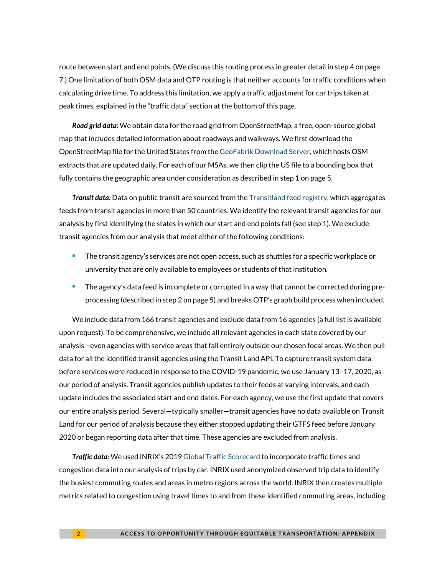route between start and end points. (We discuss this routing process in greater detail in step 4 on page 7.) One limitation of both OSM data and OTP routing is that neither accounts for traffic conditions when calculating drive time. To address this limitation, we apply a traffic adjustment for car trips taken at peak times, explained in the "traffic data" section at the bottom of this page.

*Road grid data:* We obtain data for the road grid from OpenStreetMap, a free, open-source global map that includes detailed information about roadways and walkways. We first download the OpenStreetMap file for the United States from th[e GeoFabrik Download Server,](https://www.geofabrik.de/data/download.html) which hosts OSM extracts that are updated daily. For each of our MSAs, we then clip the US file to a bounding box that fully contains the geographic area under consideration as described in step 1 on page 5.

*Transit data:* Data on public transit are sourced from the [Transitland feed registry,](https://transit.land/feed-registry/) which aggregates feeds from transit agencies in more than 50 countries. We identify the relevant transit agencies for our analysis by first identifying the states in which our start and end points fall (see step 1). We exclude transit agencies from our analysis that meet either of the following conditions:

- **The transit agency's services are not open access, such as shuttles for a specific workplace or** university that are only available to employees or students of that institution.
- **The agency's data feed is incomplete or corrupted in a way that cannot be corrected during pre**processing (described in step 2 on page 5) and breaks OTP's graph build process when included.

We include data from 166 transit agencies and exclude data from 16 agencies (a full list is available upon request). To be comprehensive, we include all relevant agencies in each state covered by our analysis—even agencies with service areas that fall entirely outside our chosen focal areas. We then pull data for all the identified transit agencies using the Transit Land API. To capture transit system data before services were reduced in response to the COVID-19 pandemic, we use January 13–17, 2020, as our period of analysis. Transit agencies publish updates to their feeds at varying intervals, and each update includes the associated start and end dates. For each agency, we use the first update that covers our entire analysis period. Several—typically smaller—transit agencies have no data available on Transit Land for our period of analysis because they either stopped updating their GTFS feed before January 2020 or began reporting data after that time. These agencies are excluded from analysis.

*Traffic data:* We used INRIX's 201[9 Global Traffic Scorecard](https://inrix.com/scorecard/) to incorporate traffic times and congestion data into our analysis of trips by car. INRIX used anonymized observed trip data to identify the busiest commuting routes and areas in metro regions across the world. INRIX then creates multiple metrics related to congestion using travel times to and from these identified commuting areas, including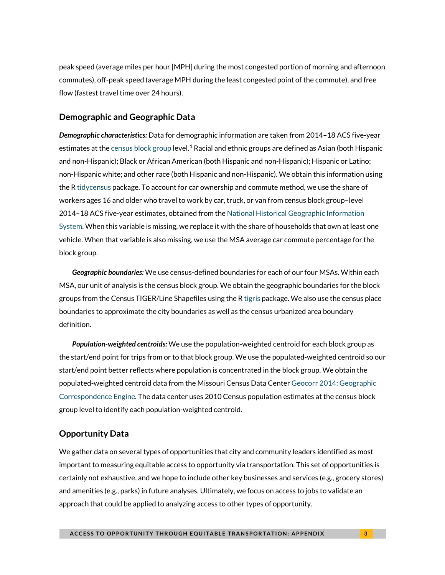peak speed (average miles per hour [MPH] during the most congested portion of morning and afternoon commutes), off-peak speed (average MPH during the least congested point of the commute), and free flow (fastest travel time over 24 hours).

#### **Demographic and Geographic Data**

*Demographic characteristics:* Data for demographic information are taken from 2014–18 ACS five-year estimates at the [census block group](https://www.census.gov/programs-surveys/geography/about/glossary.html#par_textimage_4) level.<sup>[1](#page-12-0)</sup> Racial and ethnic groups are defined as Asian (both Hispanic and non-Hispanic); Black or African American (both Hispanic and non-Hispanic); Hispanic or Latino; non-Hispanic white; and other race (both Hispanic and non-Hispanic). We obtain this information using the [R tidycensus](https://cran.r-project.org/web/packages/tidycensus/index.html) package. To account for car ownership and commute method, we use the share of workers ages 16 and older who travel to work by car, truck, or van from census block group–level 2014–18 ACS five-year estimates, obtained from th[e National Historical Geographic Information](https://www.nhgis.org/)  [System.](https://www.nhgis.org/) When this variable is missing, we replace it with the share of households that own at least one vehicle. When that variable is also missing, we use the MSA average car commute percentage for the block group.

*Geographic boundaries:* We use census-defined boundaries for each of our four MSAs. Within each MSA, our unit of analysis is the census block group. We obtain the geographic boundaries for the block groups from the Census TIGER/Line Shapefiles using the [R tigris](https://cran.r-project.org/web/packages/tigris/tigris.pdf) package. We also use the census place boundaries to approximate the city boundaries as well as the census urbanized area boundary definition.

*Population-weighted centroids:* We use the population-weighted centroid for each block group as the start/end point for trips from or to that block group. We use the populated-weighted centroid so our start/end point better reflects where population is concentrated in the block group. We obtain the populated-weighted centroid data from the Missouri Census Data Cente[r Geocorr 2014: Geographic](http://mcdc.missouri.edu/applications/geocorr2014.html)  [Correspondence Engine.](http://mcdc.missouri.edu/applications/geocorr2014.html) The data center uses 2010 Census population estimates at the census block group level to identify each population-weighted centroid.

### **Opportunity Data**

We gather data on several types of opportunities that city and community leaders identified as most important to measuring equitable access to opportunity via transportation. This set of opportunities is certainly not exhaustive, and we hope to include other key businesses and services (e.g., grocery stores) and amenities (e.g., parks) in future analyses. Ultimately, we focus on access to jobs to validate an approach that could be applied to analyzing access to other types of opportunity.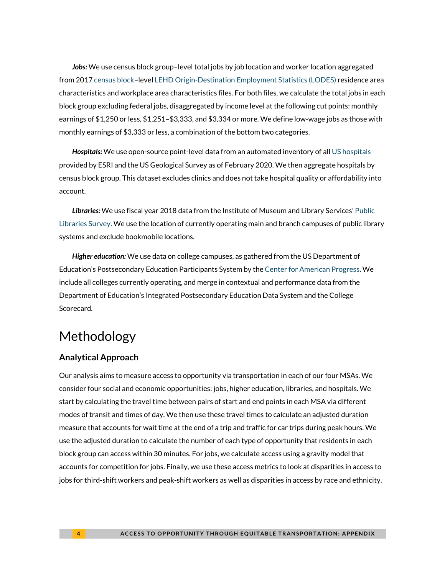*Jobs:* We use census block group–level total jobs by job location and worker location aggregated from 201[7 census block–](https://www.census.gov/newsroom/blogs/random-samplings/2011/07/what-are-census-blocks.html)level [LEHD Origin-Destination Employment Statistics \(LODES\)](https://lehd.ces.census.gov/data/) residence area characteristics and workplace area characteristics files. For both files, we calculate the total jobs in each block group excluding federal jobs, disaggregated by income level at the following cut points: monthly earnings of \$1,250 or less, \$1,251–\$3,333, and \$3,334 or more. We define low-wage jobs as those with monthly earnings of \$3,333 or less, a combination of the bottom two categories.

*Hospitals:* We use open-source point-level data from an automated inventory of all [US hospitals](https://www.arcgis.com/home/item.html?id=f114757725a24d8d9ce203f61eaf8f75) provided by ESRI and the US Geological Survey as of February 2020. We then aggregate hospitals by census block group. This dataset excludes clinics and does not take hospital quality or affordability into account.

*Libraries:* We use fiscal year 2018 data from the Institute of Museum and Library Services' [Public](https://www.imls.gov/research-evaluation/data-collection/public-libraries-survey)  [Libraries Survey.](https://www.imls.gov/research-evaluation/data-collection/public-libraries-survey) We use the location of currently operating main and branch campuses of public library systems and exclude bookmobile locations.

*Higher education:* We use data on college campuses, as gathered from the US Department of Education's Postsecondary Education Participants System by th[e Center for American Progress.](https://www.americanprogress.org/issues/education-postsecondary/reports/2019/06/27/471242/those-left-behind/) We include all colleges currently operating, and merge in contextual and performance data from the Department of Education's Integrated Postsecondary Education Data System and the College Scorecard.

# Methodology

### **Analytical Approach**

Our analysis aims to measure access to opportunity via transportation in each of our four MSAs. We consider four social and economic opportunities: jobs, higher education, libraries, and hospitals. We start by calculating the travel time between pairs of start and end points in each MSA via different modes of transit and times of day. We then use these travel times to calculate an adjusted duration measure that accounts for wait time at the end of a trip and traffic for car trips during peak hours. We use the adjusted duration to calculate the number of each type of opportunity that residents in each block group can access within 30 minutes. For jobs, we calculate access using a gravity model that accounts for competition for jobs. Finally, we use these access metrics to look at disparities in access to jobs for third-shift workers and peak-shift workers as well as disparities in access by race and ethnicity.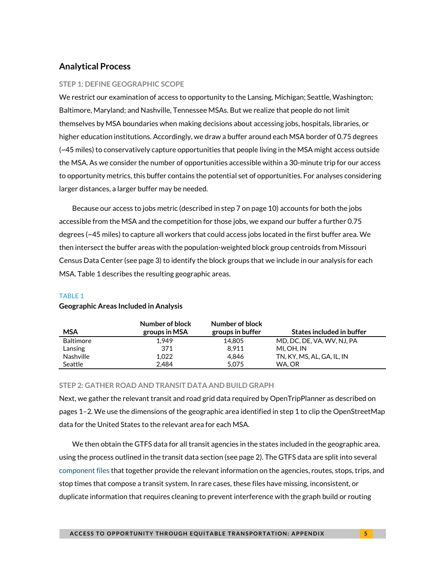### **Analytical Process**

#### **STEP 1: DEFINE GEOGRAPHIC SCOPE**

We restrict our examination of access to opportunity to the Lansing, Michigan; Seattle, Washington; Baltimore, Maryland; and Nashville, Tennessee MSAs. But we realize that people do not limit themselves by MSA boundaries when making decisions about accessing jobs, hospitals, libraries, or higher education institutions. Accordingly, we draw a buffer around each MSA border of 0.75 degrees (~45 miles) to conservatively capture opportunities that people living in the MSA might access outside the MSA. As we consider the number of opportunities accessible within a 30-minute trip for our access to opportunity metrics, this buffer contains the potential set of opportunities. For analyses considering larger distances, a larger buffer may be needed.

Because our access to jobs metric (described in step 7 on page 10) accounts for both the jobs accessible from the MSA and the competition for those jobs, we expand our buffer a further 0.75 degrees (~45 miles) to capture all workers that could access jobs located in the first buffer area. We then intersect the buffer areas with the population-weighted block group centroids from Missouri Census Data Center (see page 3) to identify the block groups that we include in our analysis for each MSA. Table 1 describes the resulting geographic areas.

#### TABLE 1

| MSA              | Number of block<br>groups in MSA | Number of block<br>groups in buffer | States included in buffer  |
|------------------|----------------------------------|-------------------------------------|----------------------------|
| <b>Baltimore</b> | 1.949                            | 14.805                              | MD, DC, DE, VA, WV, NJ, PA |
| Lansing          | 371                              | 8.911                               | MI. OH. IN                 |
| <b>Nashville</b> | 1.022                            | 4.846                               | TN, KY, MS, AL, GA, IL, IN |
| Seattle          | 2.484                            | 5.075                               | WA.OR                      |

### **Geographic Areas Included in Analysis**

#### **STEP 2: GATHER ROAD AND TRANSIT DATA AND BUILD GRAPH**

Next, we gather the relevant transit and road grid data required by OpenTripPlanner as described on pages 1–2. We use the dimensions of the geographic area identified in step 1 to clip the OpenStreetMap data for the United States to the relevant area for each MSA.

We then obtain the GTFS data for all transit agencies in the states included in the geographic area, using the process outlined in the transit data section (see page 2). The GTFS data are split into several [component files](https://gtfs.org/reference/static) that together provide the relevant information on the agencies, routes, stops, trips, and stop times that compose a transit system. In rare cases, these files have missing, inconsistent, or duplicate information that requires cleaning to prevent interference with the graph build or routing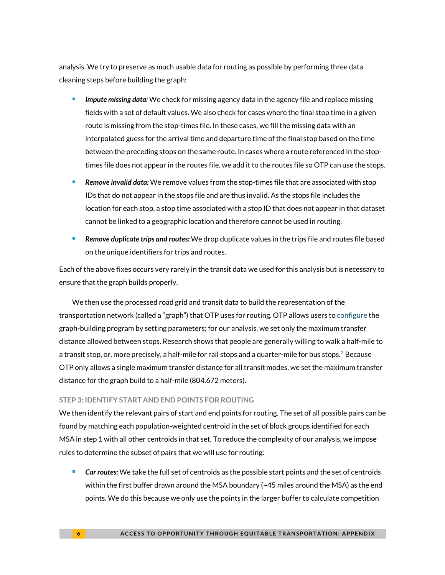analysis. We try to preserve as much usable data for routing as possible by performing three data cleaning steps before building the graph:

- *Impute missing data:* We check for missing agency data in the agency file and replace missing fields with a set of default values. We also check for cases where the final stop time in a given route is missing from the stop-times file. In these cases, we fill the missing data with an interpolated guess for the arrival time and departure time of the final stop based on the time between the preceding stops on the same route. In cases where a route referenced in the stoptimes file does not appear in the routes file, we add it to the routes file so OTP can use the stops.
- *Remove invalid data:* We remove values from the stop-times file that are associated with stop IDs that do not appear in the stops file and are thus invalid. As the stops file includes the location for each stop, a stop time associated with a stop ID that does not appear in that dataset cannot be linked to a geographic location and therefore cannot be used in routing.
- *Remove duplicate trips and routes:* We drop duplicate values in the trips file and routes file based on the unique identifiers for trips and routes.

Each of the above fixes occurs very rarely in the transit data we used for this analysis but is necessary to ensure that the graph builds properly.

We then use the processed road grid and transit data to build the representation of the transportation network (called a "graph") that OTP uses for routing. OTP allows users t[o configure](http://docs.opentripplanner.org/en/latest/Configuration/) the graph-building program by setting parameters; for our analysis, we set only the maximum transfer distance allowed between stops. Research shows that people are generally willing to walk a half-mile to a transit stop, or, more precisely, a half-mile for rail stops and a quarter-mile for bus stops.<sup>[2](#page-12-1)</sup> Because OTP only allows a single maximum transfer distance for all transit modes, we set the maximum transfer distance for the graph build to a half-mile (804.672 meters).

#### **STEP 3: IDENTIFY START AND END POINTS FOR ROUTING**

We then identify the relevant pairs of start and end points for routing. The set of all possible pairs can be found by matching each population-weighted centroid in the set of block groups identified for each MSA in step 1 with all other centroids in that set. To reduce the complexity of our analysis, we impose rules to determine the subset of pairs that we will use for routing:

 *Car routes:* We take the full set of centroids as the possible start points and the set of centroids within the first buffer drawn around the MSA boundary  $\sim$  45 miles around the MSA) as the end points. We do this because we only use the points in the larger buffer to calculate competition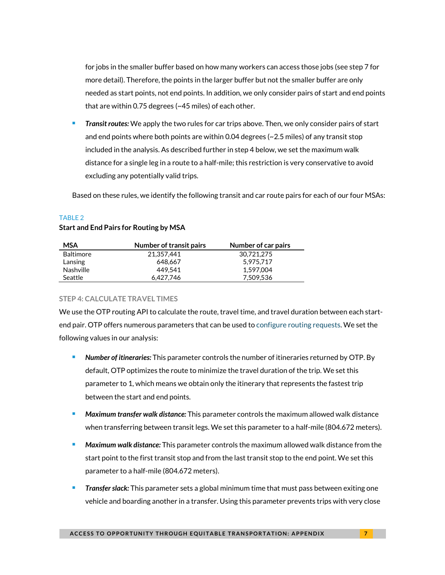for jobs in the smaller buffer based on how many workers can access those jobs (see step 7 for more detail). Therefore, the points in the larger buffer but not the smaller buffer are only needed as start points, not end points. In addition, we only consider pairs of start and end points that are within 0.75 degrees (~45 miles) of each other.

 *Transit routes:* We apply the two rules for car trips above. Then, we only consider pairs of start and end points where both points are within 0.04 degrees (~2.5 miles) of any transit stop included in the analysis. As described further in step 4 below, we set the maximum walk distance for a single leg in a route to a half-mile; this restriction is very conservative to avoid excluding any potentially valid trips.

Based on these rules, we identify the following transit and car route pairs for each of our four MSAs:

#### TABLE 2

#### **Start and End Pairs for Routing by MSA**

| <b>MSA</b>       | Number of transit pairs | Number of car pairs |
|------------------|-------------------------|---------------------|
| <b>Baltimore</b> | 21.357.441              | 30.721.275          |
| Lansing          | 648.667                 | 5,975,717           |
| <b>Nashville</b> | 449.541                 | 1,597,004           |
| Seattle          | 6.427.746               | 7.509.536           |

#### **STEP 4: CALCULATE TRAVEL TIMES**

We use the OTP routing API to calculate the route, travel time, and travel duration between each startend pair. OTP offers numerous parameters that can be used to [configure routing requests.](http://dev.opentripplanner.org/javadoc/1.3.0/org/opentripplanner/routing/core/RoutingRequest.html) We set the following values in our analysis:

- *Number of itineraries:* This parameter controls the number of itineraries returned by OTP. By default, OTP optimizes the route to minimize the travel duration of the trip. We set this parameter to 1, which means we obtain only the itinerary that represents the fastest trip between the start and end points.
- *Maximum transfer walk distance:* This parameter controls the maximum allowed walk distance when transferring between transit legs. We set this parameter to a half-mile (804.672 meters).
- *Maximum walk distance:* This parameter controls the maximum allowed walk distance from the start point to the first transit stop and from the last transit stop to the end point. We set this parameter to a half-mile (804.672 meters).
- *Transfer slack:* This parameter sets a global minimum time that must pass between exiting one vehicle and boarding another in a transfer. Using this parameter prevents trips with very close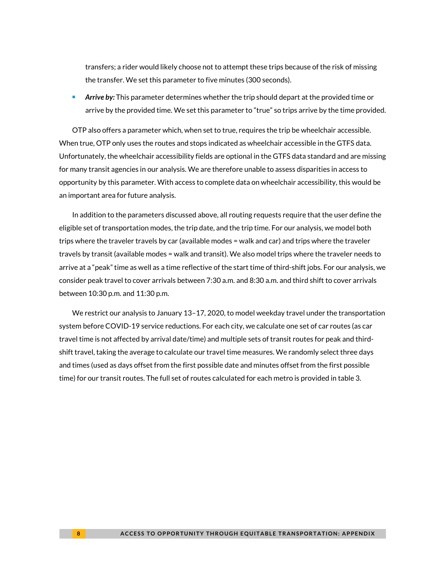transfers; a rider would likely choose not to attempt these trips because of the risk of missing the transfer. We set this parameter to five minutes (300 seconds).

 *Arrive by:* This parameter determines whether the trip should depart at the provided time or arrive by the provided time. We set this parameter to "true" so trips arrive by the time provided.

OTP also offers a parameter which, when set to true, requires the trip be wheelchair accessible. When true, OTP only uses the routes and stops indicated as wheelchair accessible in the GTFS data. Unfortunately, the wheelchair accessibility fields are optional in the GTFS data standard and are missing for many transit agencies in our analysis. We are therefore unable to assess disparities in access to opportunity by this parameter. With access to complete data on wheelchair accessibility, this would be an important area for future analysis.

In addition to the parameters discussed above, all routing requests require that the user define the eligible set of transportation modes, the trip date, and the trip time. For our analysis, we model both trips where the traveler travels by car (available modes = walk and car) and trips where the traveler travels by transit (available modes = walk and transit). We also model trips where the traveler needs to arrive at a "peak" time as well as a time reflective of the start time of third-shift jobs. For our analysis, we consider peak travel to cover arrivals between 7:30 a.m. and 8:30 a.m. and third shift to cover arrivals between 10:30 p.m. and 11:30 p.m.

We restrict our analysis to January 13–17, 2020, to model weekday travel under the transportation system before COVID-19 service reductions. For each city, we calculate one set of car routes (as car travel time is not affected by arrival date/time) and multiple sets of transit routes for peak and thirdshift travel, taking the average to calculate our travel time measures. We randomly select three days and times (used as days offset from the first possible date and minutes offset from the first possible time) for our transit routes. The full set of routes calculated for each metro is provided in table 3.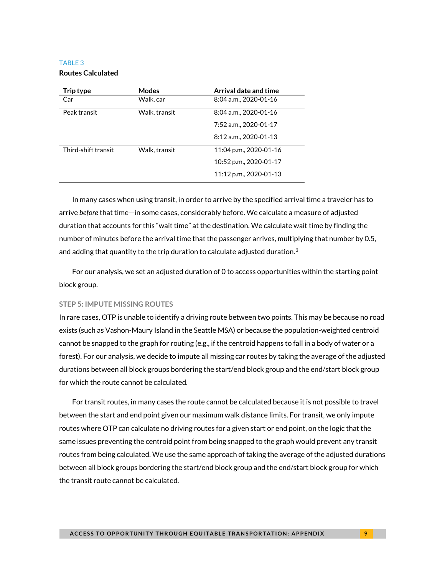### TABLE 3

#### **Routes Calculated**

| Trip type           | <b>Modes</b>  | Arrival date and time  |  |
|---------------------|---------------|------------------------|--|
| Car                 | Walk, car     | 8:04 a.m., 2020-01-16  |  |
| Peak transit        | Walk, transit | 8:04 a.m., 2020-01-16  |  |
|                     |               | 7:52 a.m., 2020-01-17  |  |
|                     |               | 8:12 a.m., 2020-01-13  |  |
| Third-shift transit | Walk, transit | 11:04 p.m., 2020-01-16 |  |
|                     |               | 10:52 p.m., 2020-01-17 |  |
|                     |               | 11:12 p.m., 2020-01-13 |  |

In many cases when using transit, in order to arrive by the specified arrival time a traveler has to arrive *before* that time—in some cases, considerably before. We calculate a measure of adjusted duration that accounts for this "wait time" at the destination. We calculate wait time by finding the number of minutes before the arrival time that the passenger arrives, multiplying that number by 0.5, and adding that quantity to the trip duration to calculate adjusted duration.<sup>[3](#page-12-2)</sup>

For our analysis, we set an adjusted duration of 0 to access opportunities within the starting point block group.

#### **STEP 5: IMPUTE MISSING ROUTES**

In rare cases, OTP is unable to identify a driving route between two points. This may be because no road exists (such as Vashon-Maury Island in the Seattle MSA) or because the population-weighted centroid cannot be snapped to the graph for routing (e.g., if the centroid happens to fall in a body of water or a forest). For our analysis, we decide to impute all missing car routes by taking the average of the adjusted durations between all block groups bordering the start/end block group and the end/start block group for which the route cannot be calculated.

For transit routes, in many cases the route cannot be calculated because it is not possible to travel between the start and end point given our maximum walk distance limits. For transit, we only impute routes where OTP can calculate no driving routes for a given start or end point, on the logic that the same issues preventing the centroid point from being snapped to the graph would prevent any transit routes from being calculated. We use the same approach of taking the average of the adjusted durations between all block groups bordering the start/end block group and the end/start block group for which the transit route cannot be calculated.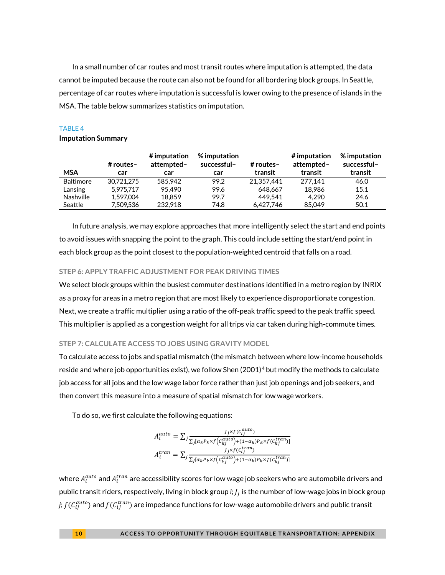In a small number of car routes and most transit routes where imputation is attempted, the data cannot be imputed because the route can also not be found for all bordering block groups. In Seattle, percentage of car routes where imputation is successful is lower owing to the presence of islands in the MSA. The table below summarizes statistics on imputation.

#### TABLE 4

#### **Imputation Summary**

| <b>MSA</b>       | # routes-<br>car | $#$ imputation<br>attempted-<br>car | $%$ imputation<br>successful-<br>car | # routes-<br>transit | # imputation<br>attempted-<br>transit | % imputation<br>successful-<br>transit |
|------------------|------------------|-------------------------------------|--------------------------------------|----------------------|---------------------------------------|----------------------------------------|
| <b>Baltimore</b> | 30.721.275       | 585.942                             | 99.2                                 | 21.357.441           | 277.141                               | 46.0                                   |
| Lansing          | 5.975.717        | 95.490                              | 99.6                                 | 648.667              | 18.986                                | 15.1                                   |
| <b>Nashville</b> | 1.597.004        | 18.859                              | 99.7                                 | 449.541              | 4.290                                 | 24.6                                   |
| Seattle          | 7.509.536        | 232.918                             | 74.8                                 | 6.427.746            | 85.049                                | 50.1                                   |

In future analysis, we may explore approaches that more intelligently select the start and end points to avoid issues with snapping the point to the graph. This could include setting the start/end point in each block group as the point closest to the population-weighted centroid that falls on a road.

#### **STEP 6: APPLY TRAFFIC ADJUSTMENT FOR PEAK DRIVING TIMES**

We select block groups within the busiest commuter destinations identified in a metro region by INRIX as a proxy for areas in a metro region that are most likely to experience disproportionate congestion. Next, we create a traffic multiplier using a ratio of the off-peak traffic speed to the peak traffic speed. This multiplier is applied as a congestion weight for all trips via car taken during high-commute times.

#### **STEP 7: CALCULATE ACCESS TO JOBS USING GRAVITY MODEL**

To calculate access to jobs and spatial mismatch (the mismatch between where low-income households reside and where job opportunities exist), we follow Shen (2001)<sup>[4](#page-12-3)</sup> but modify the methods to calculate job access for all jobs and the low wage labor force rather than just job openings and job seekers, and then convert this measure into a measure of spatial mismatch for low wage workers.

To do so, we first calculate the following equations:

$$
A_i^{auto} = \sum_j \frac{J_j \times f(c_{ij}^{auto})}{\sum_j [\alpha_k P_k \times f(c_{kj}^{auto}) + (1 - \alpha_k) P_k \times f(c_{kj}^{tran})]}
$$

$$
A_i^{tran} = \sum_j \frac{J_j \times f(c_{ij}^{tran})}{\sum_j [\alpha_k P_k \times f(c_{kj}^{ratio}) + (1 - \alpha_k) P_k \times f(c_{kj}^{tran})]}
$$

where  $A_i^{auto}$  and  $A_i^{tran}$  are accessibility scores for low wage job seekers who are automobile drivers and public transit riders, respectively, living in block group *i*; is the number of low-wage jobs in block group *j; f (C* $_{ij}^{auto}$ *) and f (C* $_{ij}^{tran}$ *) are impedance functions for low-wage automobile drivers and public transit*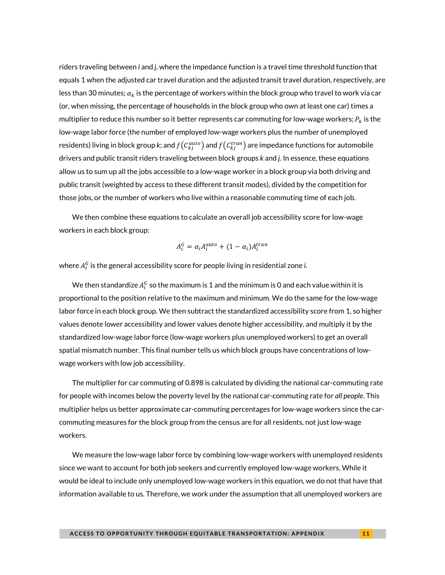riders traveling between *i* and *j*, where the impedance function is a travel time threshold function that equals 1 when the adjusted car travel duration and the adjusted transit travel duration, respectively, are less than 30 minutes;  $\alpha_k$  is the percentage of workers within the block group who travel to work via car (or, when missing, the percentage of households in the block group who own at least one car) times a multiplier to reduce this number so it better represents car commuting for low-wage workers;  $P_k$  is the low-wage labor force (the number of employed low-wage workers plus the number of unemployed residents) living in block group *k*; and  $f\big(\mathcal{C}_{kj}^{auto}\big)$  and  $f\big(\mathcal{C}_{kj}^{tran}\big)$  are impedance functions for automobile drivers and public transit riders traveling between block groups *k* and *j*. In essence, these equations allow us to sum up all the jobs accessible to a low-wage worker in a block group via both driving and public transit (weighted by access to these different transit modes), divided by the competition for those jobs, or the number of workers who live within a reasonable commuting time of each job.

We then combine these equations to calculate an overall job accessibility score for low-wage workers in each block group:

$$
A_i^G = \alpha_i A_i^{auto} + (1 - \alpha_i) A_i^{tran}
$$

where  $A_i^G$  is the general accessibility score for people living in residential zone *i*.

We then standardize  $A_i^G$  so the maximum is 1 and the minimum is 0 and each value within it is proportional to the position relative to the maximum and minimum. We do the same for the low-wage labor force in each block group. We then subtract the standardized accessibility score from 1, so higher values denote lower accessibility and lower values denote higher accessibility, and multiply it by the standardized low-wage labor force (low-wage workers plus unemployed workers) to get an overall spatial mismatch number. This final number tells us which block groups have concentrations of lowwage workers with low job accessibility.

The multiplier for car commuting of 0.898 is calculated by dividing the national car-commuting rate for people with incomes below the poverty level by the national car-commuting rate for *all people*. This multiplier helps us better approximate car-commuting percentages for low-wage workers since the carcommuting measures for the block group from the census are for all residents, not just low-wage workers.

We measure the low-wage labor force by combining low-wage workers with unemployed residents since we want to account for both job seekers and currently employed low-wage workers. While it would be ideal to include only unemployed low-wage workers in this equation, we do not that have that information available to us. Therefore, we work under the assumption that all unemployed workers are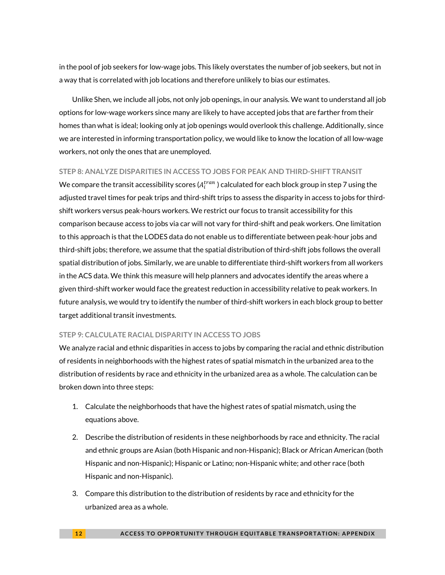in the pool of job seekers for low-wage jobs. This likely overstates the number of job seekers, but not in a way that is correlated with job locations and therefore unlikely to bias our estimates.

Unlike Shen, we include all jobs, not only job openings, in our analysis. We want to understand all job options for low-wage workers since many are likely to have accepted jobs that are farther from their homes than what is ideal; looking only at job openings would overlook this challenge. Additionally, since we are interested in informing transportation policy, we would like to know the location of all low-wage workers, not only the ones that are unemployed.

#### **STEP 8: ANALYZE DISPARITIES IN ACCESS TO JOBS FOR PEAK AND THIRD-SHIFT TRANSIT**

We compare the transit accessibility scores ( $A_i^{tran}$  ) calculated for each block group in step 7 using the adjusted travel times for peak trips and third-shift trips to assess the disparity in access to jobs for thirdshift workers versus peak-hours workers. We restrict our focus to transit accessibility for this comparison because access to jobs via car will not vary for third-shift and peak workers. One limitation to this approach is that the LODES data do not enable us to differentiate between peak-hour jobs and third-shift jobs; therefore, we assume that the spatial distribution of third-shift jobs follows the overall spatial distribution of jobs. Similarly, we are unable to differentiate third-shift workers from all workers in the ACS data. We think this measure will help planners and advocates identify the areas where a given third-shift worker would face the greatest reduction in accessibility relative to peak workers. In future analysis, we would try to identify the number of third-shift workers in each block group to better target additional transit investments.

#### **STEP 9: CALCULATE RACIAL DISPARITY IN ACCESS TO JOBS**

We analyze racial and ethnic disparities in access to jobs by comparing the racial and ethnic distribution of residents in neighborhoods with the highest rates of spatial mismatch in the urbanized area to the distribution of residents by race and ethnicity in the urbanized area as a whole. The calculation can be broken down into three steps:

- 1. Calculate the neighborhoods that have the highest rates of spatial mismatch, using the equations above.
- 2. Describe the distribution of residents in these neighborhoods by race and ethnicity. The racial and ethnic groups are Asian (both Hispanic and non-Hispanic); Black or African American (both Hispanic and non-Hispanic); Hispanic or Latino; non-Hispanic white; and other race (both Hispanic and non-Hispanic).
- 3. Compare this distribution to the distribution of residents by race and ethnicity for the urbanized area as a whole.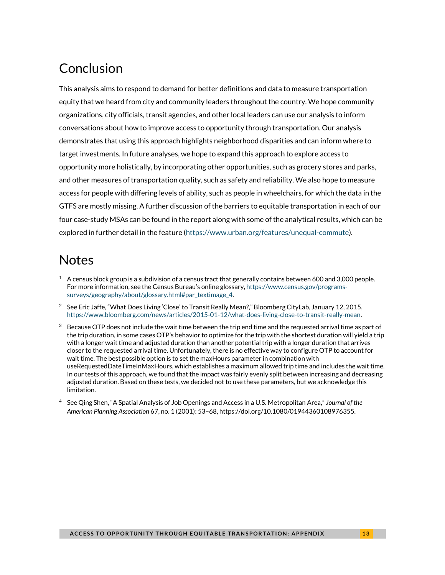# Conclusion

This analysis aims to respond to demand for better definitions and data to measure transportation equity that we heard from city and community leaders throughout the country. We hope community organizations, city officials, transit agencies, and other local leaders can use our analysis to inform conversations about how to improve access to opportunity through transportation. Our analysis demonstrates that using this approach highlights neighborhood disparities and can inform where to target investments. In future analyses, we hope to expand this approach to explore access to opportunity more holistically, by incorporating other opportunities, such as grocery stores and parks, and other measures of transportation quality, such as safety and reliability. We also hope to measure access for people with differing levels of ability, such as people in wheelchairs, for which the data in the GTFS are mostly missing. A further discussion of the barriers to equitable transportation in each of our four case-study MSAs can be found in the report along with some of the analytical results, which can be explored in further detail in the feature [\(https://www.urban.org/features/unequal-commute\)](https://www.urban.org/features/unequal-commute).

# **Notes**

- <span id="page-12-0"></span> $1$  A census block group is a subdivision of a census tract that generally contains between 600 and 3,000 people. For more information, see the Census Bureau's online glossary[, https://www.census.gov/programs](https://www.census.gov/programs-surveys/geography/about/glossary.html#par_textimage_4)[surveys/geography/about/glossary.html#par\\_textimage\\_4.](https://www.census.gov/programs-surveys/geography/about/glossary.html#par_textimage_4)
- <span id="page-12-1"></span><sup>2</sup> See Eric Jaffe, "What Does Living 'Close' to Transit Really Mean?," Bloomberg CityLab, January 12, 2015, [https://www.bloomberg.com/news/articles/2015-01-12/what-does-living-close-to-transit-really-mean.](https://www.bloomberg.com/news/articles/2015-01-12/what-does-living-close-to-transit-really-mean)
- <span id="page-12-2"></span> $3$  Because OTP does not include the wait time between the trip end time and the requested arrival time as part of the trip duration, in some cases OTP's behavior to optimize for the trip with the shortest duration will yield a trip with a longer wait time and adjusted duration than another potential trip with a longer duration that arrives closer to the requested arrival time. Unfortunately, there is no effective way to configure OTP to account for wait time. The best possible option is to set the maxHours parameter in combination with useRequestedDateTimeInMaxHours, which establishes a maximum allowed trip time and includes the wait time. In our tests of this approach, we found that the impact was fairly evenly split between increasing and decreasing adjusted duration. Based on these tests, we decided not to use these parameters, but we acknowledge this limitation.
- <span id="page-12-3"></span><sup>4</sup> See Qing Shen, "A Spatial Analysis of Job Openings and Access in a U.S. Metropolitan Area," *Journal of the American Planning Association* 67, no. 1 (2001): 53–68, https://doi.org[/10.1080/01944360108976355.](https://doi.org/10.1080/01944360108976355)